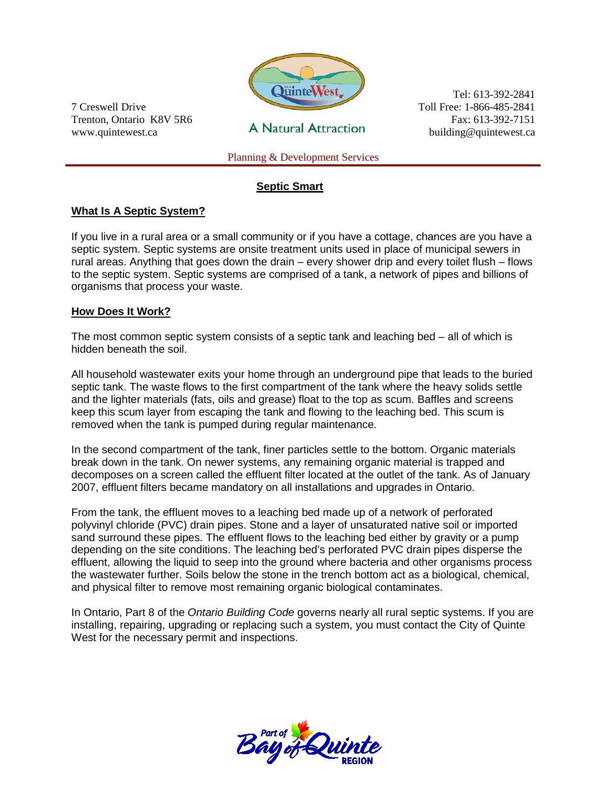

7 Creswell Drive Trenton, Ontario K8V 5R6 www.quintewest.ca

**A Natural Attraction** 

Tel: 613-392-2841 Toll Free: 1-866-485-2841 Fax: 613-392-7151 building@quintewest.ca

Planning & Development Services

## **Septic Smart**

#### **What Is A Septic System?**

If you live in a rural area or a small community or if you have a cottage, chances are you have a septic system. Septic systems are onsite treatment units used in place of municipal sewers in rural areas. Anything that goes down the drain – every shower drip and every toilet flush – flows to the septic system. Septic systems are comprised of a tank, a network of pipes and billions of organisms that process your waste.

#### **How Does It Work?**

The most common septic system consists of a septic tank and leaching bed – all of which is hidden beneath the soil.

All household wastewater exits your home through an underground pipe that leads to the buried septic tank. The waste flows to the first compartment of the tank where the heavy solids settle and the lighter materials (fats, oils and grease) float to the top as scum. Baffles and screens keep this scum layer from escaping the tank and flowing to the leaching bed. This scum is removed when the tank is pumped during regular maintenance.

In the second compartment of the tank, finer particles settle to the bottom. Organic materials break down in the tank. On newer systems, any remaining organic material is trapped and decomposes on a screen called the effluent filter located at the outlet of the tank. As of January 2007, effluent filters became mandatory on all installations and upgrades in Ontario.

From the tank, the effluent moves to a leaching bed made up of a network of perforated polyvinyl chloride (PVC) drain pipes. Stone and a layer of unsaturated native soil or imported sand surround these pipes. The effluent flows to the leaching bed either by gravity or a pump depending on the site conditions. The leaching bed's perforated PVC drain pipes disperse the effluent, allowing the liquid to seep into the ground where bacteria and other organisms process the wastewater further. Soils below the stone in the trench bottom act as a biological, chemical, and physical filter to remove most remaining organic biological contaminates.

In Ontario, Part 8 of the *Ontario Building Code* governs nearly all rural septic systems. If you are installing, repairing, upgrading or replacing such a system, you must contact the City of Quinte West for the necessary permit and inspections.

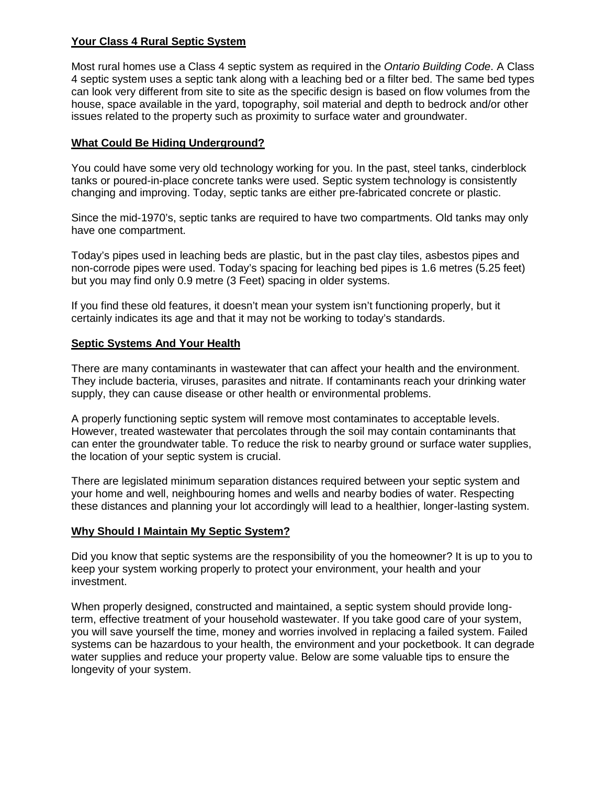### **Your Class 4 Rural Septic System**

Most rural homes use a Class 4 septic system as required in the *Ontario Building Code*. A Class 4 septic system uses a septic tank along with a leaching bed or a filter bed. The same bed types can look very different from site to site as the specific design is based on flow volumes from the house, space available in the yard, topography, soil material and depth to bedrock and/or other issues related to the property such as proximity to surface water and groundwater.

## **What Could Be Hiding Underground?**

You could have some very old technology working for you. In the past, steel tanks, cinderblock tanks or poured-in-place concrete tanks were used. Septic system technology is consistently changing and improving. Today, septic tanks are either pre-fabricated concrete or plastic.

Since the mid-1970's, septic tanks are required to have two compartments. Old tanks may only have one compartment.

Today's pipes used in leaching beds are plastic, but in the past clay tiles, asbestos pipes and non-corrode pipes were used. Today's spacing for leaching bed pipes is 1.6 metres (5.25 feet) but you may find only 0.9 metre (3 Feet) spacing in older systems.

If you find these old features, it doesn't mean your system isn't functioning properly, but it certainly indicates its age and that it may not be working to today's standards.

#### **Septic Systems And Your Health**

There are many contaminants in wastewater that can affect your health and the environment. They include bacteria, viruses, parasites and nitrate. If contaminants reach your drinking water supply, they can cause disease or other health or environmental problems.

A properly functioning septic system will remove most contaminates to acceptable levels. However, treated wastewater that percolates through the soil may contain contaminants that can enter the groundwater table. To reduce the risk to nearby ground or surface water supplies, the location of your septic system is crucial.

There are legislated minimum separation distances required between your septic system and your home and well, neighbouring homes and wells and nearby bodies of water. Respecting these distances and planning your lot accordingly will lead to a healthier, longer-lasting system.

#### **Why Should I Maintain My Septic System?**

Did you know that septic systems are the responsibility of you the homeowner? It is up to you to keep your system working properly to protect your environment, your health and your investment.

When properly designed, constructed and maintained, a septic system should provide longterm, effective treatment of your household wastewater. If you take good care of your system, you will save yourself the time, money and worries involved in replacing a failed system. Failed systems can be hazardous to your health, the environment and your pocketbook. It can degrade water supplies and reduce your property value. Below are some valuable tips to ensure the longevity of your system.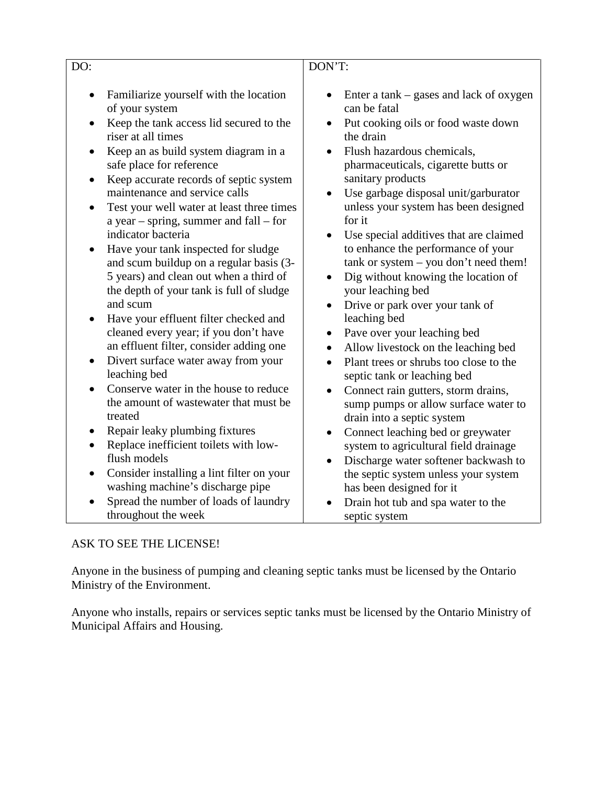| DO:                                                                             |                                                                                                                                                                                                                                                                                                                                                                                                                                                                                                                                                                                                                                                                                                                                                                                                                                                                                                                                                                                                      | DON'T:                                                                                                                                                                                                                                                                                                                                                                                                                                                                                                                                                                                                                                                                                                                                                                                                                                                                                                                                                                                                                      |
|---------------------------------------------------------------------------------|------------------------------------------------------------------------------------------------------------------------------------------------------------------------------------------------------------------------------------------------------------------------------------------------------------------------------------------------------------------------------------------------------------------------------------------------------------------------------------------------------------------------------------------------------------------------------------------------------------------------------------------------------------------------------------------------------------------------------------------------------------------------------------------------------------------------------------------------------------------------------------------------------------------------------------------------------------------------------------------------------|-----------------------------------------------------------------------------------------------------------------------------------------------------------------------------------------------------------------------------------------------------------------------------------------------------------------------------------------------------------------------------------------------------------------------------------------------------------------------------------------------------------------------------------------------------------------------------------------------------------------------------------------------------------------------------------------------------------------------------------------------------------------------------------------------------------------------------------------------------------------------------------------------------------------------------------------------------------------------------------------------------------------------------|
| ٠<br>$\bullet$<br>$\bullet$<br>$\bullet$<br>$\bullet$<br>$\bullet$<br>$\bullet$ | Familiarize yourself with the location<br>of your system<br>Keep the tank access lid secured to the<br>riser at all times<br>Keep an as build system diagram in a<br>safe place for reference<br>Keep accurate records of septic system<br>maintenance and service calls<br>Test your well water at least three times<br>a year – spring, summer and $fall - for$<br>indicator bacteria<br>Have your tank inspected for sludge<br>and scum buildup on a regular basis (3-<br>5 years) and clean out when a third of<br>the depth of your tank is full of sludge<br>and scum<br>Have your effluent filter checked and<br>cleaned every year; if you don't have<br>an effluent filter, consider adding one<br>Divert surface water away from your<br>leaching bed<br>Conserve water in the house to reduce<br>the amount of wastewater that must be<br>treated<br>Repair leaky plumbing fixtures<br>Replace inefficient toilets with low-<br>flush models<br>Consider installing a lint filter on your | Enter a tank $-$ gases and lack of oxygen<br>can be fatal<br>Put cooking oils or food waste down<br>the drain<br>Flush hazardous chemicals,<br>$\bullet$<br>pharmaceuticals, cigarette butts or<br>sanitary products<br>Use garbage disposal unit/garburator<br>$\bullet$<br>unless your system has been designed<br>for it<br>Use special additives that are claimed<br>$\bullet$<br>to enhance the performance of your<br>tank or system - you don't need them!<br>Dig without knowing the location of<br>your leaching bed<br>Drive or park over your tank of<br>$\bullet$<br>leaching bed<br>Pave over your leaching bed<br>٠<br>Allow livestock on the leaching bed<br>$\bullet$<br>Plant trees or shrubs too close to the<br>$\bullet$<br>septic tank or leaching bed<br>Connect rain gutters, storm drains,<br>$\bullet$<br>sump pumps or allow surface water to<br>drain into a septic system<br>Connect leaching bed or greywater<br>system to agricultural field drainage<br>Discharge water softener backwash to |
|                                                                                 | washing machine's discharge pipe                                                                                                                                                                                                                                                                                                                                                                                                                                                                                                                                                                                                                                                                                                                                                                                                                                                                                                                                                                     | the septic system unless your system<br>has been designed for it                                                                                                                                                                                                                                                                                                                                                                                                                                                                                                                                                                                                                                                                                                                                                                                                                                                                                                                                                            |
| $\bullet$                                                                       | Spread the number of loads of laundry                                                                                                                                                                                                                                                                                                                                                                                                                                                                                                                                                                                                                                                                                                                                                                                                                                                                                                                                                                | Drain hot tub and spa water to the                                                                                                                                                                                                                                                                                                                                                                                                                                                                                                                                                                                                                                                                                                                                                                                                                                                                                                                                                                                          |
|                                                                                 | throughout the week                                                                                                                                                                                                                                                                                                                                                                                                                                                                                                                                                                                                                                                                                                                                                                                                                                                                                                                                                                                  | septic system                                                                                                                                                                                                                                                                                                                                                                                                                                                                                                                                                                                                                                                                                                                                                                                                                                                                                                                                                                                                               |

# ASK TO SEE THE LICENSE!

Anyone in the business of pumping and cleaning septic tanks must be licensed by the Ontario Ministry of the Environment.

Anyone who installs, repairs or services septic tanks must be licensed by the Ontario Ministry of Municipal Affairs and Housing.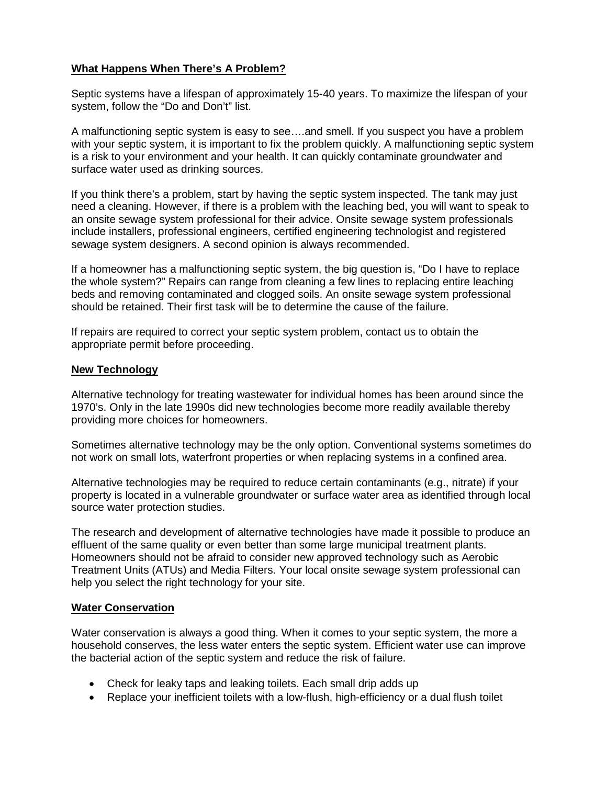## **What Happens When There's A Problem?**

Septic systems have a lifespan of approximately 15-40 years. To maximize the lifespan of your system, follow the "Do and Don't" list.

A malfunctioning septic system is easy to see….and smell. If you suspect you have a problem with your septic system, it is important to fix the problem quickly. A malfunctioning septic system is a risk to your environment and your health. It can quickly contaminate groundwater and surface water used as drinking sources.

If you think there's a problem, start by having the septic system inspected. The tank may just need a cleaning. However, if there is a problem with the leaching bed, you will want to speak to an onsite sewage system professional for their advice. Onsite sewage system professionals include installers, professional engineers, certified engineering technologist and registered sewage system designers. A second opinion is always recommended.

If a homeowner has a malfunctioning septic system, the big question is, "Do I have to replace the whole system?" Repairs can range from cleaning a few lines to replacing entire leaching beds and removing contaminated and clogged soils. An onsite sewage system professional should be retained. Their first task will be to determine the cause of the failure.

If repairs are required to correct your septic system problem, contact us to obtain the appropriate permit before proceeding.

#### **New Technology**

Alternative technology for treating wastewater for individual homes has been around since the 1970's. Only in the late 1990s did new technologies become more readily available thereby providing more choices for homeowners.

Sometimes alternative technology may be the only option. Conventional systems sometimes do not work on small lots, waterfront properties or when replacing systems in a confined area.

Alternative technologies may be required to reduce certain contaminants (e.g., nitrate) if your property is located in a vulnerable groundwater or surface water area as identified through local source water protection studies.

The research and development of alternative technologies have made it possible to produce an effluent of the same quality or even better than some large municipal treatment plants. Homeowners should not be afraid to consider new approved technology such as Aerobic Treatment Units (ATUs) and Media Filters. Your local onsite sewage system professional can help you select the right technology for your site.

#### **Water Conservation**

Water conservation is always a good thing. When it comes to your septic system, the more a household conserves, the less water enters the septic system. Efficient water use can improve the bacterial action of the septic system and reduce the risk of failure.

- Check for leaky taps and leaking toilets. Each small drip adds up
- Replace your inefficient toilets with a low-flush, high-efficiency or a dual flush toilet